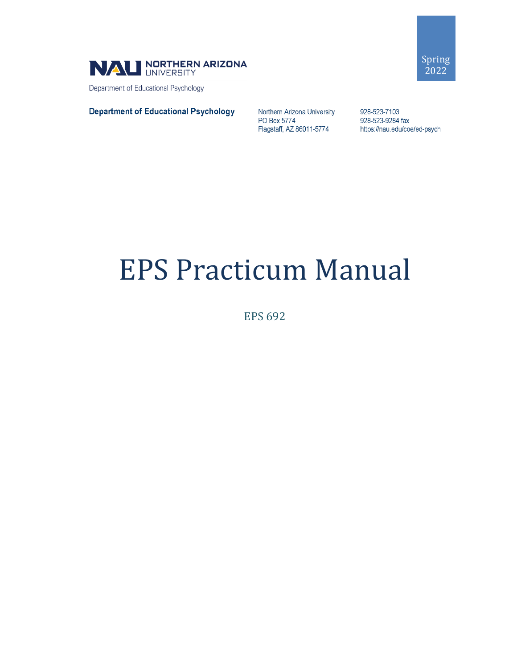

Department of Educational Psychology

#### **Department of Educational Psychology**

Northern Arizona University PO Box 5774 Flagstaff, AZ 86011-5774

928-523-7103 928-523-9284 fax https://nau.edu/coe/ed-psych

# EPS Practicum Manual

EPS 692

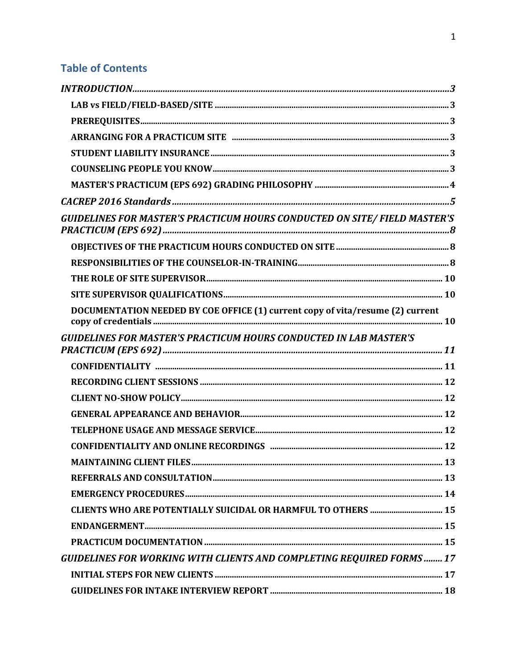# **Table of Contents**

| <b>GUIDELINES FOR MASTER'S PRACTICUM HOURS CONDUCTED ON SITE/FIELD MASTER'S</b> |  |
|---------------------------------------------------------------------------------|--|
|                                                                                 |  |
|                                                                                 |  |
|                                                                                 |  |
|                                                                                 |  |
| DOCUMENTATION NEEDED BY COE OFFICE (1) current copy of vita/resume (2) current  |  |
| <b>GUIDELINES FOR MASTER'S PRACTICUM HOURS CONDUCTED IN LAB MASTER'S</b>        |  |
|                                                                                 |  |
|                                                                                 |  |
|                                                                                 |  |
|                                                                                 |  |
|                                                                                 |  |
|                                                                                 |  |
|                                                                                 |  |
|                                                                                 |  |
|                                                                                 |  |
| <b>CLIENTS WHO ARE POTENTIALLY SUICIDAL OR HARMFUL TO OTHERS  15</b>            |  |
|                                                                                 |  |
|                                                                                 |  |
| GUIDELINES FOR WORKING WITH CLIENTS AND COMPLETING REQUIRED FORMS  17           |  |
|                                                                                 |  |
|                                                                                 |  |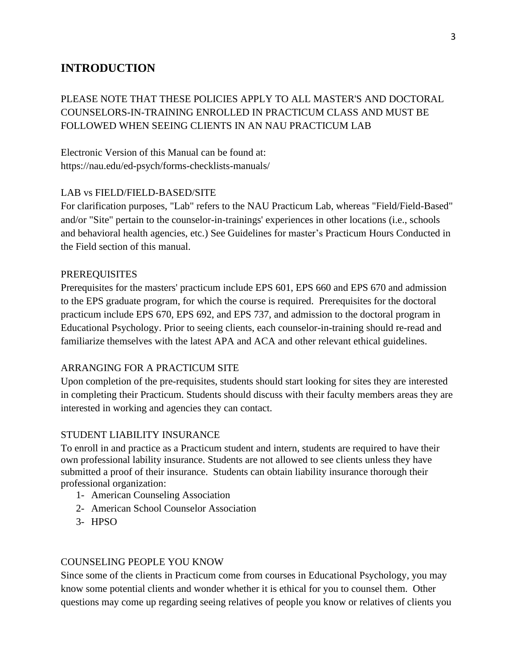# <span id="page-3-0"></span>**INTRODUCTION**

# PLEASE NOTE THAT THESE POLICIES APPLY TO ALL MASTER'S AND DOCTORAL COUNSELORS-IN-TRAINING ENROLLED IN PRACTICUM CLASS AND MUST BE FOLLOWED WHEN SEEING CLIENTS IN AN NAU PRACTICUM LAB

Electronic Version of this Manual can be found at: https://nau.edu/ed-psych/forms-checklists-manuals/

#### <span id="page-3-1"></span>LAB vs FIELD/FIELD-BASED/SITE

For clarification purposes, "Lab" refers to the NAU Practicum Lab, whereas "Field/Field-Based" and/or "Site" pertain to the counselor-in-trainings' experiences in other locations (i.e., schools and behavioral health agencies, etc.) See Guidelines for master's Practicum Hours Conducted in the Field section of this manual.

#### <span id="page-3-2"></span>PREREQUISITES

Prerequisites for the masters' practicum include EPS 601, EPS 660 and EPS 670 and admission to the EPS graduate program, for which the course is required. Prerequisites for the doctoral practicum include EPS 670, EPS 692, and EPS 737, and admission to the doctoral program in Educational Psychology. Prior to seeing clients, each counselor-in-training should re-read and familiarize themselves with the latest APA and ACA and other relevant ethical guidelines.

#### <span id="page-3-3"></span>ARRANGING FOR A PRACTICUM SITE

Upon completion of the pre-requisites, students should start looking for sites they are interested in completing their Practicum. Students should discuss with their faculty members areas they are interested in working and agencies they can contact.

#### <span id="page-3-4"></span>STUDENT LIABILITY INSURANCE

To enroll in and practice as a Practicum student and intern, students are required to have their own professional lability insurance. Students are not allowed to see clients unless they have submitted a proof of their insurance. Students can obtain liability insurance thorough their professional organization:

- 1- American Counseling Association
- 2- American School Counselor Association
- 3- HPSO

#### <span id="page-3-5"></span>COUNSELING PEOPLE YOU KNOW

Since some of the clients in Practicum come from courses in Educational Psychology, you may know some potential clients and wonder whether it is ethical for you to counsel them. Other questions may come up regarding seeing relatives of people you know or relatives of clients you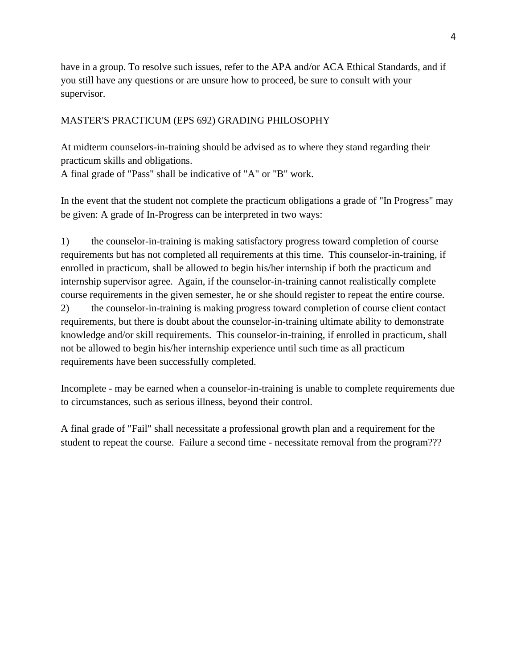have in a group. To resolve such issues, refer to the APA and/or ACA Ethical Standards, and if you still have any questions or are unsure how to proceed, be sure to consult with your supervisor.

#### <span id="page-4-0"></span>MASTER'S PRACTICUM (EPS 692) GRADING PHILOSOPHY

At midterm counselors-in-training should be advised as to where they stand regarding their practicum skills and obligations.

A final grade of "Pass" shall be indicative of "A" or "B" work.

In the event that the student not complete the practicum obligations a grade of "In Progress" may be given: A grade of In-Progress can be interpreted in two ways:

1) the counselor-in-training is making satisfactory progress toward completion of course requirements but has not completed all requirements at this time. This counselor-in-training, if enrolled in practicum, shall be allowed to begin his/her internship if both the practicum and internship supervisor agree. Again, if the counselor-in-training cannot realistically complete course requirements in the given semester, he or she should register to repeat the entire course. 2) the counselor-in-training is making progress toward completion of course client contact requirements, but there is doubt about the counselor-in-training ultimate ability to demonstrate knowledge and/or skill requirements. This counselor-in-training, if enrolled in practicum, shall not be allowed to begin his/her internship experience until such time as all practicum requirements have been successfully completed.

Incomplete - may be earned when a counselor-in-training is unable to complete requirements due to circumstances, such as serious illness, beyond their control.

A final grade of "Fail" shall necessitate a professional growth plan and a requirement for the student to repeat the course. Failure a second time - necessitate removal from the program???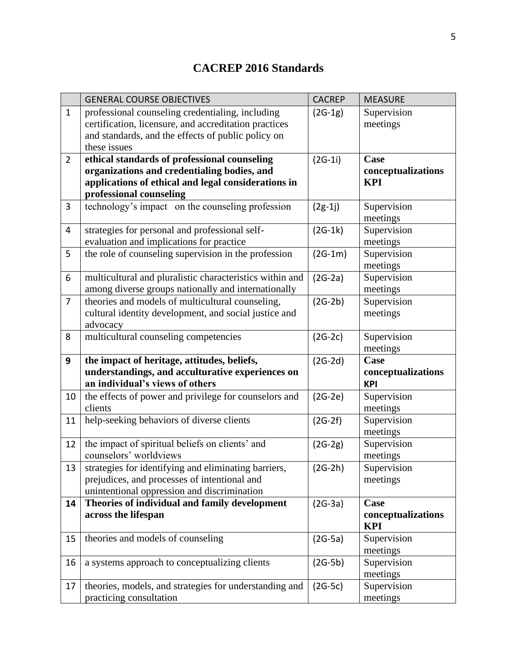# **CACREP 2016 Standards**

<span id="page-5-0"></span>

|                | <b>GENERAL COURSE OBJECTIVES</b>                                                                 | <b>CACREP</b> | <b>MEASURE</b>          |
|----------------|--------------------------------------------------------------------------------------------------|---------------|-------------------------|
| $\mathbf{1}$   | professional counseling credentialing, including                                                 | $(2G-1g)$     | Supervision             |
|                | certification, licensure, and accreditation practices                                            |               | meetings                |
|                | and standards, and the effects of public policy on                                               |               |                         |
|                | these issues                                                                                     |               |                         |
| $\overline{2}$ | ethical standards of professional counseling                                                     | $(2G-1i)$     | Case                    |
|                | organizations and credentialing bodies, and                                                      |               | conceptualizations      |
|                | applications of ethical and legal considerations in                                              |               | <b>KPI</b>              |
|                | professional counseling                                                                          |               |                         |
| $\overline{3}$ | technology's impact on the counseling profession                                                 | $(2g-1j)$     | Supervision             |
|                |                                                                                                  |               | meetings                |
| 4              | strategies for personal and professional self-                                                   | $(2G-1k)$     | Supervision             |
| 5              | evaluation and implications for practice<br>the role of counseling supervision in the profession | $(2G-1m)$     | meetings                |
|                |                                                                                                  |               | Supervision<br>meetings |
| 6              | multicultural and pluralistic characteristics within and                                         | $(2G-2a)$     | Supervision             |
|                | among diverse groups nationally and internationally                                              |               | meetings                |
| $\overline{7}$ | theories and models of multicultural counseling,                                                 | $(2G-2b)$     | Supervision             |
|                | cultural identity development, and social justice and                                            |               | meetings                |
|                | advocacy                                                                                         |               |                         |
| 8              | multicultural counseling competencies                                                            | $(2G-2c)$     | Supervision             |
|                |                                                                                                  |               | meetings                |
| 9              | the impact of heritage, attitudes, beliefs,                                                      | $(2G-2d)$     | Case                    |
|                | understandings, and acculturative experiences on                                                 |               | conceptualizations      |
|                | an individual's views of others                                                                  |               | <b>KPI</b>              |
| 10             | the effects of power and privilege for counselors and                                            | $(2G-2e)$     | Supervision             |
|                | clients                                                                                          |               | meetings                |
| 11             | help-seeking behaviors of diverse clients                                                        | $(2G-2f)$     | Supervision             |
|                |                                                                                                  |               | meetings                |
| 12             | the impact of spiritual beliefs on clients' and                                                  | $(2G-2g)$     | Supervision             |
|                | counselors' worldviews                                                                           |               | meetings                |
| 13             | strategies for identifying and eliminating barriers,                                             | $(2G-2h)$     | Supervision             |
|                | prejudices, and processes of intentional and                                                     |               | meetings                |
|                | unintentional oppression and discrimination                                                      |               | Case                    |
| 14             | Theories of individual and family development<br>across the lifespan                             | $(2G-3a)$     | conceptualizations      |
|                |                                                                                                  |               | <b>KPI</b>              |
| 15             | theories and models of counseling                                                                | $(2G-5a)$     | Supervision             |
|                |                                                                                                  |               | meetings                |
| 16             | a systems approach to conceptualizing clients                                                    | $(2G-5b)$     | Supervision             |
|                |                                                                                                  |               | meetings                |
| 17             | theories, models, and strategies for understanding and                                           | $(2G-5c)$     | Supervision             |
|                | practicing consultation                                                                          |               | meetings                |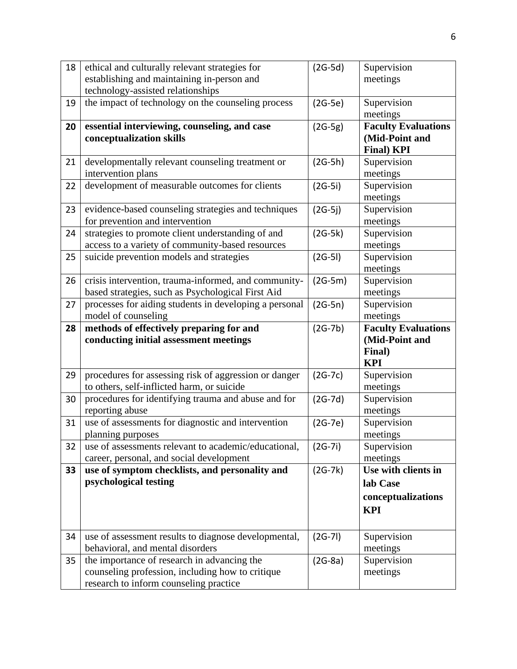| 18 | ethical and culturally relevant strategies for         | $(2G-5d)$ | Supervision                |
|----|--------------------------------------------------------|-----------|----------------------------|
|    | establishing and maintaining in-person and             |           | meetings                   |
|    | technology-assisted relationships                      |           |                            |
| 19 | the impact of technology on the counseling process     | $(2G-5e)$ | Supervision                |
|    |                                                        |           | meetings                   |
| 20 | essential interviewing, counseling, and case           | $(2G-5g)$ | <b>Faculty Evaluations</b> |
|    | conceptualization skills                               |           | (Mid-Point and             |
|    |                                                        |           | <b>Final)</b> KPI          |
| 21 | developmentally relevant counseling treatment or       | $(2G-5h)$ | Supervision                |
|    | intervention plans                                     |           | meetings                   |
| 22 | development of measurable outcomes for clients         | $(2G-5i)$ | Supervision                |
|    |                                                        |           | meetings                   |
| 23 | evidence-based counseling strategies and techniques    | $(2G-5j)$ | Supervision                |
|    | for prevention and intervention                        |           | meetings                   |
| 24 | strategies to promote client understanding of and      | $(2G-5k)$ | Supervision                |
|    | access to a variety of community-based resources       |           | meetings                   |
| 25 | suicide prevention models and strategies               | $(2G-5I)$ | Supervision                |
|    |                                                        |           | meetings                   |
| 26 | crisis intervention, trauma-informed, and community-   | $(2G-5m)$ | Supervision                |
|    | based strategies, such as Psychological First Aid      |           | meetings                   |
| 27 | processes for aiding students in developing a personal | $(2G-5n)$ | Supervision                |
|    | model of counseling                                    |           | meetings                   |
|    |                                                        |           |                            |
| 28 | methods of effectively preparing for and               | $(2G-7b)$ | <b>Faculty Evaluations</b> |
|    | conducting initial assessment meetings                 |           | (Mid-Point and             |
|    |                                                        |           | Final)                     |
|    |                                                        |           | <b>KPI</b>                 |
| 29 | procedures for assessing risk of aggression or danger  | $(2G-7c)$ | Supervision                |
|    | to others, self-inflicted harm, or suicide             |           | meetings                   |
| 30 | procedures for identifying trauma and abuse and for    | $(2G-7d)$ | Supervision                |
|    | reporting abuse                                        |           | meetings                   |
| 31 | use of assessments for diagnostic and intervention     | $(2G-7e)$ | Supervision                |
|    | planning purposes                                      |           | meetings                   |
| 32 | use of assessments relevant to academic/educational,   | $(2G-7i)$ | Supervision                |
|    | career, personal, and social development               |           | meetings                   |
| 33 | use of symptom checklists, and personality and         | $(2G-7k)$ | Use with clients in        |
|    | psychological testing                                  |           | lab Case                   |
|    |                                                        |           | conceptualizations         |
|    |                                                        |           | <b>KPI</b>                 |
|    |                                                        |           |                            |
| 34 | use of assessment results to diagnose developmental,   | $(2G-7I)$ | Supervision                |
|    | behavioral, and mental disorders                       |           | meetings                   |
| 35 | the importance of research in advancing the            | $(2G-8a)$ | Supervision                |
|    | counseling profession, including how to critique       |           | meetings                   |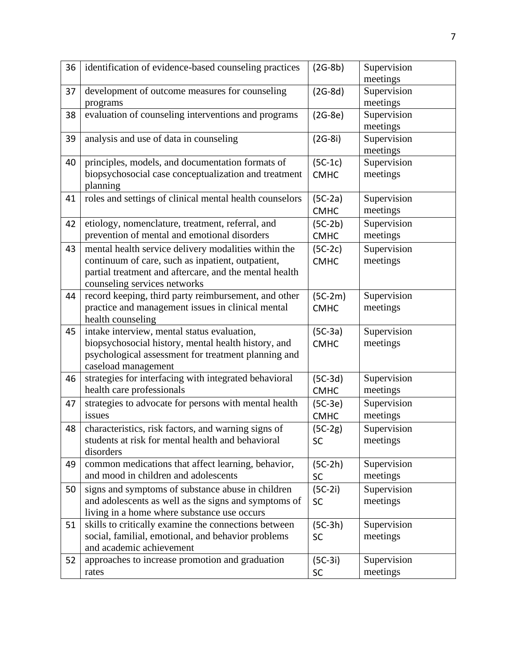| 36 | identification of evidence-based counseling practices                                                                                                                                               | $(2G-8b)$                | Supervision<br>meetings |
|----|-----------------------------------------------------------------------------------------------------------------------------------------------------------------------------------------------------|--------------------------|-------------------------|
| 37 | development of outcome measures for counseling<br>programs                                                                                                                                          | $(2G-8d)$                | Supervision<br>meetings |
| 38 | evaluation of counseling interventions and programs                                                                                                                                                 | $(2G-8e)$                | Supervision<br>meetings |
| 39 | analysis and use of data in counseling                                                                                                                                                              | $(2G-8i)$                | Supervision<br>meetings |
| 40 | principles, models, and documentation formats of<br>biopsychosocial case conceptualization and treatment<br>planning                                                                                | $(5C-1c)$<br><b>CMHC</b> | Supervision<br>meetings |
| 41 | roles and settings of clinical mental health counselors                                                                                                                                             | $(5C-2a)$<br><b>CMHC</b> | Supervision<br>meetings |
| 42 | etiology, nomenclature, treatment, referral, and<br>prevention of mental and emotional disorders                                                                                                    | $(5C-2b)$<br><b>CMHC</b> | Supervision<br>meetings |
| 43 | mental health service delivery modalities within the<br>continuum of care, such as inpatient, outpatient,<br>partial treatment and aftercare, and the mental health<br>counseling services networks | $(5C-2c)$<br><b>CMHC</b> | Supervision<br>meetings |
| 44 | record keeping, third party reimbursement, and other<br>practice and management issues in clinical mental<br>health counseling                                                                      | $(5C-2m)$<br><b>CMHC</b> | Supervision<br>meetings |
| 45 | intake interview, mental status evaluation,<br>biopsychosocial history, mental health history, and<br>psychological assessment for treatment planning and<br>caseload management                    | $(5C-3a)$<br><b>CMHC</b> | Supervision<br>meetings |
| 46 | strategies for interfacing with integrated behavioral<br>health care professionals                                                                                                                  | $(5C-3d)$<br><b>CMHC</b> | Supervision<br>meetings |
| 47 | strategies to advocate for persons with mental health<br>issues                                                                                                                                     | $(5C-3e)$<br><b>CMHC</b> | Supervision<br>meetings |
| 48 | characteristics, risk factors, and warning signs of<br>students at risk for mental health and behavioral<br>disorders                                                                               | $(5C-2g)$<br><b>SC</b>   | Supervision<br>meetings |
| 49 | common medications that affect learning, behavior,<br>and mood in children and adolescents                                                                                                          | $(5C-2h)$<br>SC          | Supervision<br>meetings |
| 50 | signs and symptoms of substance abuse in children<br>and adolescents as well as the signs and symptoms of<br>living in a home where substance use occurs                                            | $(5C-2i)$<br><b>SC</b>   | Supervision<br>meetings |
| 51 | skills to critically examine the connections between<br>social, familial, emotional, and behavior problems<br>and academic achievement                                                              | $(5C-3h)$<br><b>SC</b>   | Supervision<br>meetings |
| 52 | approaches to increase promotion and graduation<br>rates                                                                                                                                            | $(5C-3i)$<br><b>SC</b>   | Supervision<br>meetings |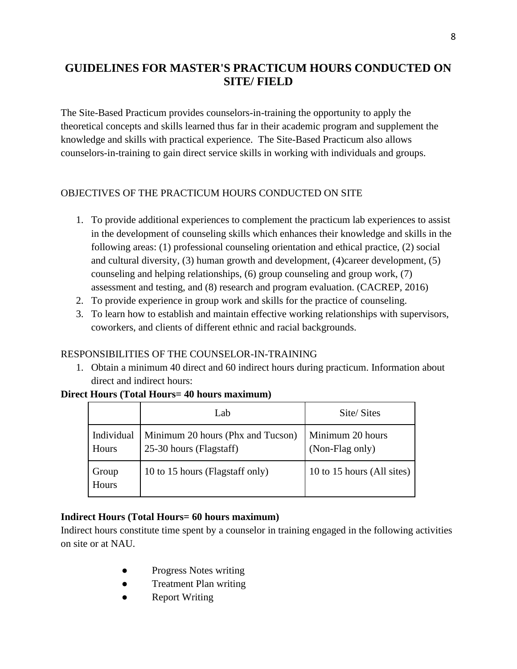# <span id="page-8-0"></span>**GUIDELINES FOR MASTER'S PRACTICUM HOURS CONDUCTED ON SITE/ FIELD**

The Site-Based Practicum provides counselors-in-training the opportunity to apply the theoretical concepts and skills learned thus far in their academic program and supplement the knowledge and skills with practical experience. The Site-Based Practicum also allows counselors-in-training to gain direct service skills in working with individuals and groups.

### <span id="page-8-1"></span>OBJECTIVES OF THE PRACTICUM HOURS CONDUCTED ON SITE

- 1. To provide additional experiences to complement the practicum lab experiences to assist in the development of counseling skills which enhances their knowledge and skills in the following areas: (1) professional counseling orientation and ethical practice, (2) social and cultural diversity, (3) human growth and development, (4)career development, (5) counseling and helping relationships, (6) group counseling and group work, (7) assessment and testing, and (8) research and program evaluation. (CACREP, 2016)
- 2. To provide experience in group work and skills for the practice of counseling.
- 3. To learn how to establish and maintain effective working relationships with supervisors, coworkers, and clients of different ethnic and racial backgrounds.

#### <span id="page-8-2"></span>RESPONSIBILITIES OF THE COUNSELOR-IN-TRAINING

1. Obtain a minimum 40 direct and 60 indirect hours during practicum. Information about direct and indirect hours:

#### **Direct Hours (Total Hours= 40 hours maximum)**

|                     | Lab                                                          | Site/Sites                          |
|---------------------|--------------------------------------------------------------|-------------------------------------|
| Individual<br>Hours | Minimum 20 hours (Phx and Tucson)<br>25-30 hours (Flagstaff) | Minimum 20 hours<br>(Non-Flag only) |
| Group<br>Hours      | 10 to 15 hours (Flagstaff only)                              | 10 to 15 hours (All sites)          |

#### **Indirect Hours (Total Hours= 60 hours maximum)**

Indirect hours constitute time spent by a counselor in training engaged in the following activities on site or at NAU.

- Progress Notes writing
- Treatment Plan writing
- Report Writing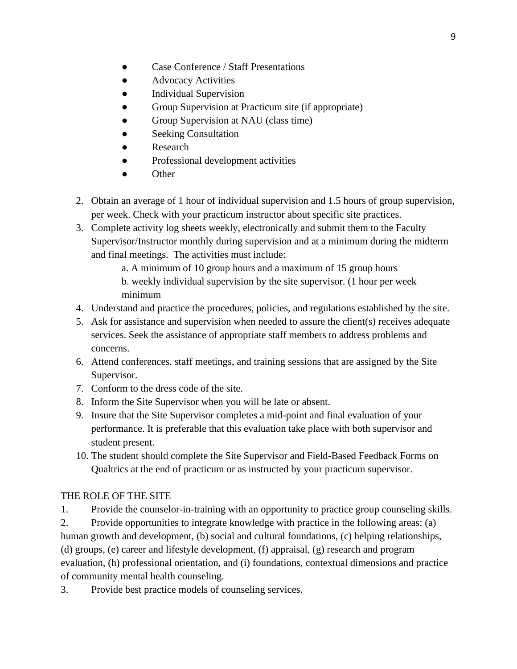- Case Conference / Staff Presentations
- Advocacy Activities
- Individual Supervision
- Group Supervision at Practicum site (if appropriate)
- Group Supervision at NAU (class time)
- **Seeking Consultation**
- Research
- Professional development activities
- **Other**
- 2. Obtain an average of 1 hour of individual supervision and 1.5 hours of group supervision, per week. Check with your practicum instructor about specific site practices.
- 3. Complete activity log sheets weekly, electronically and submit them to the Faculty Supervisor/Instructor monthly during supervision and at a minimum during the midterm and final meetings. The activities must include:
	- a. A minimum of 10 group hours and a maximum of 15 group hours
	- b. weekly individual supervision by the site supervisor. (1 hour per week minimum
- 4. Understand and practice the procedures, policies, and regulations established by the site.
- 5. Ask for assistance and supervision when needed to assure the client(s) receives adequate services. Seek the assistance of appropriate staff members to address problems and concerns.
- 6. Attend conferences, staff meetings, and training sessions that are assigned by the Site Supervisor.
- 7. Conform to the dress code of the site.
- 8. Inform the Site Supervisor when you will be late or absent.
- 9. Insure that the Site Supervisor completes a mid-point and final evaluation of your performance. It is preferable that this evaluation take place with both supervisor and student present.
- 10. The student should complete the Site Supervisor and Field-Based Feedback Forms on Qualtrics at the end of practicum or as instructed by your practicum supervisor.

### THE ROLE OF THE SITE

1. Provide the counselor-in-training with an opportunity to practice group counseling skills.

2. Provide opportunities to integrate knowledge with practice in the following areas: (a) human growth and development, (b) social and cultural foundations, (c) helping relationships, (d) groups, (e) career and lifestyle development, (f) appraisal, (g) research and program evaluation, (h) professional orientation, and (i) foundations, contextual dimensions and practice of community mental health counseling.

3. Provide best practice models of counseling services.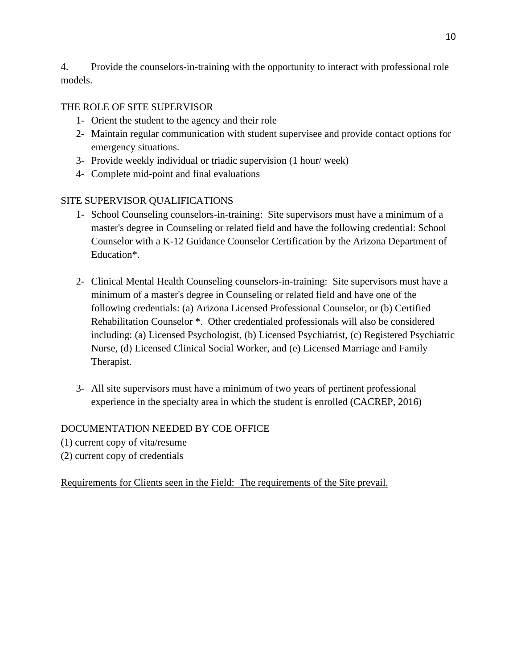4. Provide the counselors-in-training with the opportunity to interact with professional role models.

# <span id="page-10-0"></span>THE ROLE OF SITE SUPERVISOR

- 1- Orient the student to the agency and their role
- 2- Maintain regular communication with student supervisee and provide contact options for emergency situations.
- 3- Provide weekly individual or triadic supervision (1 hour/ week)
- 4- Complete mid-point and final evaluations

# <span id="page-10-1"></span>SITE SUPERVISOR QUALIFICATIONS

- 1- School Counseling counselors-in-training: Site supervisors must have a minimum of a master's degree in Counseling or related field and have the following credential: School Counselor with a K-12 Guidance Counselor Certification by the Arizona Department of Education\*.
- 2- Clinical Mental Health Counseling counselors-in-training: Site supervisors must have a minimum of a master's degree in Counseling or related field and have one of the following credentials: (a) Arizona Licensed Professional Counselor, or (b) Certified Rehabilitation Counselor \*. Other credentialed professionals will also be considered including: (a) Licensed Psychologist, (b) Licensed Psychiatrist, (c) Registered Psychiatric Nurse, (d) Licensed Clinical Social Worker, and (e) Licensed Marriage and Family Therapist.
- 3- All site supervisors must have a minimum of two years of pertinent professional experience in the specialty area in which the student is enrolled (CACREP, 2016)

### <span id="page-10-2"></span>DOCUMENTATION NEEDED BY COE OFFICE

- (1) current copy of vita/resume
- (2) current copy of credentials

Requirements for Clients seen in the Field: The requirements of the Site prevail.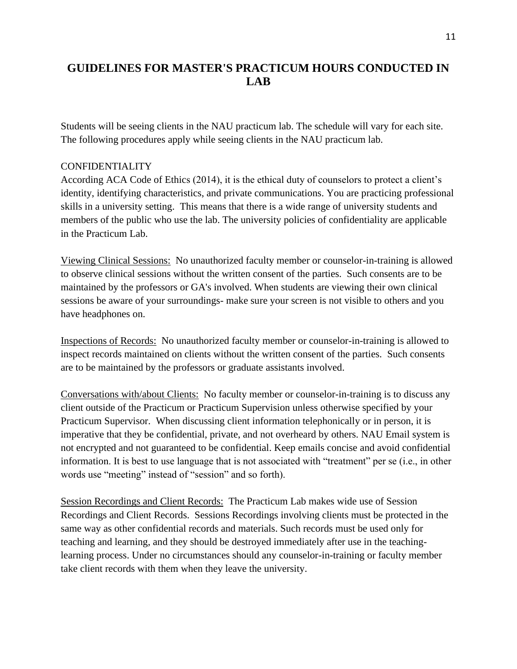# <span id="page-11-0"></span>**GUIDELINES FOR MASTER'S PRACTICUM HOURS CONDUCTED IN LAB**

Students will be seeing clients in the NAU practicum lab. The schedule will vary for each site. The following procedures apply while seeing clients in the NAU practicum lab.

#### <span id="page-11-1"></span>CONFIDENTIALITY

According ACA Code of Ethics (2014), it is the ethical duty of counselors to protect a client's identity, identifying characteristics, and private communications. You are practicing professional skills in a university setting. This means that there is a wide range of university students and members of the public who use the lab. The university policies of confidentiality are applicable in the Practicum Lab.

Viewing Clinical Sessions: No unauthorized faculty member or counselor-in-training is allowed to observe clinical sessions without the written consent of the parties. Such consents are to be maintained by the professors or GA's involved. When students are viewing their own clinical sessions be aware of your surroundings- make sure your screen is not visible to others and you have headphones on.

Inspections of Records: No unauthorized faculty member or counselor-in-training is allowed to inspect records maintained on clients without the written consent of the parties. Such consents are to be maintained by the professors or graduate assistants involved.

Conversations with/about Clients: No faculty member or counselor-in-training is to discuss any client outside of the Practicum or Practicum Supervision unless otherwise specified by your Practicum Supervisor. When discussing client information telephonically or in person, it is imperative that they be confidential, private, and not overheard by others. NAU Email system is not encrypted and not guaranteed to be confidential. Keep emails concise and avoid confidential information. It is best to use language that is not associated with "treatment" per se (i.e., in other words use "meeting" instead of "session" and so forth).

Session Recordings and Client Records: The Practicum Lab makes wide use of Session Recordings and Client Records. Sessions Recordings involving clients must be protected in the same way as other confidential records and materials. Such records must be used only for teaching and learning, and they should be destroyed immediately after use in the teachinglearning process. Under no circumstances should any counselor-in-training or faculty member take client records with them when they leave the university.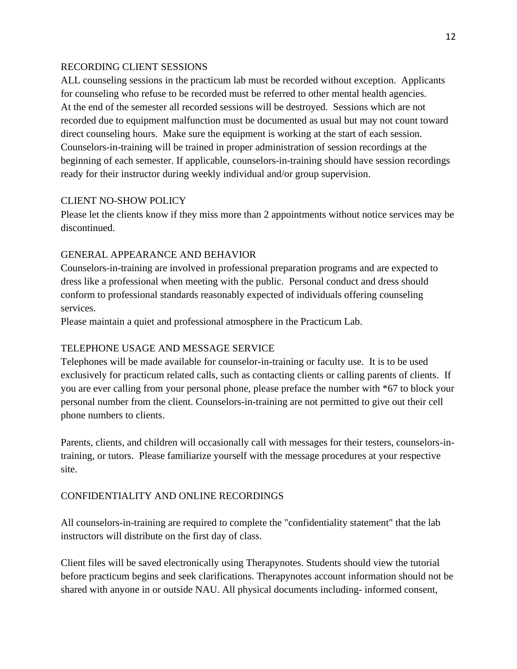#### <span id="page-12-0"></span>RECORDING CLIENT SESSIONS

ALL counseling sessions in the practicum lab must be recorded without exception. Applicants for counseling who refuse to be recorded must be referred to other mental health agencies. At the end of the semester all recorded sessions will be destroyed. Sessions which are not recorded due to equipment malfunction must be documented as usual but may not count toward direct counseling hours. Make sure the equipment is working at the start of each session. Counselors-in-training will be trained in proper administration of session recordings at the beginning of each semester. If applicable, counselors-in-training should have session recordings ready for their instructor during weekly individual and/or group supervision.

#### <span id="page-12-1"></span>CLIENT NO-SHOW POLICY

Please let the clients know if they miss more than 2 appointments without notice services may be discontinued.

#### <span id="page-12-2"></span>GENERAL APPEARANCE AND BEHAVIOR

Counselors-in-training are involved in professional preparation programs and are expected to dress like a professional when meeting with the public. Personal conduct and dress should conform to professional standards reasonably expected of individuals offering counseling services.

Please maintain a quiet and professional atmosphere in the Practicum Lab.

#### <span id="page-12-3"></span>TELEPHONE USAGE AND MESSAGE SERVICE

Telephones will be made available for counselor-in-training or faculty use. It is to be used exclusively for practicum related calls, such as contacting clients or calling parents of clients. If you are ever calling from your personal phone, please preface the number with \*67 to block your personal number from the client. Counselors-in-training are not permitted to give out their cell phone numbers to clients.

Parents, clients, and children will occasionally call with messages for their testers, counselors-intraining, or tutors. Please familiarize yourself with the message procedures at your respective site.

#### <span id="page-12-4"></span>CONFIDENTIALITY AND ONLINE RECORDINGS

All counselors-in-training are required to complete the "confidentiality statement" that the lab instructors will distribute on the first day of class.

Client files will be saved electronically using Therapynotes. Students should view the tutorial before practicum begins and seek clarifications. Therapynotes account information should not be shared with anyone in or outside NAU. All physical documents including- informed consent,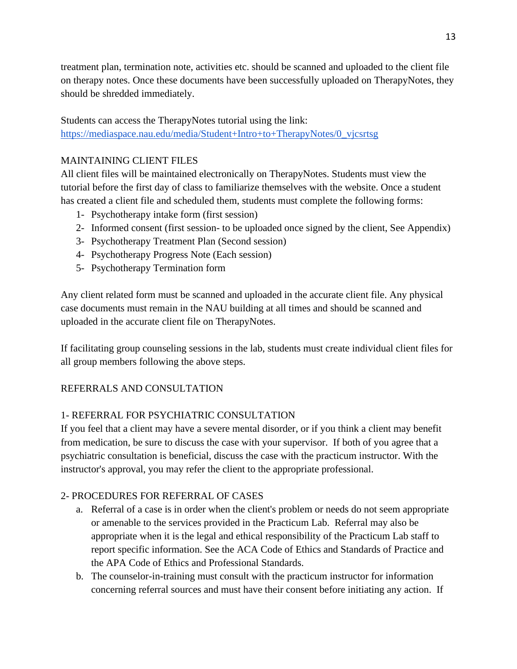treatment plan, termination note, activities etc. should be scanned and uploaded to the client file on therapy notes. Once these documents have been successfully uploaded on TherapyNotes, they should be shredded immediately.

Students can access the TherapyNotes tutorial using the link: [https://mediaspace.nau.edu/media/Student+Intro+to+TherapyNotes/0\\_vjcsrtsg](https://mediaspace.nau.edu/media/Student+Intro+to+TherapyNotes/0_vjcsrtsg)

#### <span id="page-13-0"></span>MAINTAINING CLIENT FILES

All client files will be maintained electronically on TherapyNotes. Students must view the tutorial before the first day of class to familiarize themselves with the website. Once a student has created a client file and scheduled them, students must complete the following forms:

- 1- Psychotherapy intake form (first session)
- 2- Informed consent (first session- to be uploaded once signed by the client, See Appendix)
- 3- Psychotherapy Treatment Plan (Second session)
- 4- Psychotherapy Progress Note (Each session)
- 5- Psychotherapy Termination form

Any client related form must be scanned and uploaded in the accurate client file. Any physical case documents must remain in the NAU building at all times and should be scanned and uploaded in the accurate client file on TherapyNotes.

If facilitating group counseling sessions in the lab, students must create individual client files for all group members following the above steps.

### <span id="page-13-1"></span>REFERRALS AND CONSULTATION

#### 1- REFERRAL FOR PSYCHIATRIC CONSULTATION

If you feel that a client may have a severe mental disorder, or if you think a client may benefit from medication, be sure to discuss the case with your supervisor. If both of you agree that a psychiatric consultation is beneficial, discuss the case with the practicum instructor. With the instructor's approval, you may refer the client to the appropriate professional.

#### 2- PROCEDURES FOR REFERRAL OF CASES

- a. Referral of a case is in order when the client's problem or needs do not seem appropriate or amenable to the services provided in the Practicum Lab. Referral may also be appropriate when it is the legal and ethical responsibility of the Practicum Lab staff to report specific information. See the ACA Code of Ethics and Standards of Practice and the APA Code of Ethics and Professional Standards.
- b. The counselor-in-training must consult with the practicum instructor for information concerning referral sources and must have their consent before initiating any action. If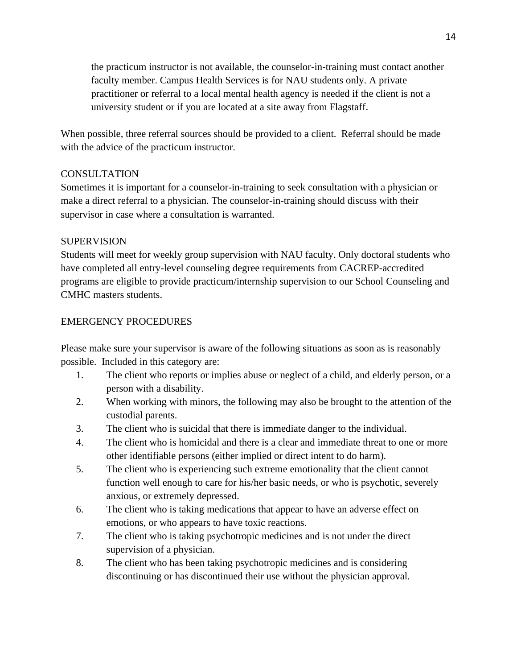the practicum instructor is not available, the counselor-in-training must contact another faculty member. Campus Health Services is for NAU students only. A private practitioner or referral to a local mental health agency is needed if the client is not a university student or if you are located at a site away from Flagstaff.

When possible, three referral sources should be provided to a client. Referral should be made with the advice of the practicum instructor.

#### CONSULTATION

Sometimes it is important for a counselor-in-training to seek consultation with a physician or make a direct referral to a physician. The counselor-in-training should discuss with their supervisor in case where a consultation is warranted.

#### SUPERVISION

Students will meet for weekly group supervision with NAU faculty. Only doctoral students who have completed all entry-level counseling degree requirements from CACREP-accredited programs are eligible to provide practicum/internship supervision to our School Counseling and CMHC masters students.

#### <span id="page-14-0"></span>EMERGENCY PROCEDURES

Please make sure your supervisor is aware of the following situations as soon as is reasonably possible. Included in this category are:

- 1. The client who reports or implies abuse or neglect of a child, and elderly person, or a person with a disability.
- 2. When working with minors, the following may also be brought to the attention of the custodial parents.
- 3. The client who is suicidal that there is immediate danger to the individual.
- 4. The client who is homicidal and there is a clear and immediate threat to one or more other identifiable persons (either implied or direct intent to do harm).
- 5. The client who is experiencing such extreme emotionality that the client cannot function well enough to care for his/her basic needs, or who is psychotic, severely anxious, or extremely depressed.
- 6. The client who is taking medications that appear to have an adverse effect on emotions, or who appears to have toxic reactions.
- 7. The client who is taking psychotropic medicines and is not under the direct supervision of a physician.
- 8. The client who has been taking psychotropic medicines and is considering discontinuing or has discontinued their use without the physician approval.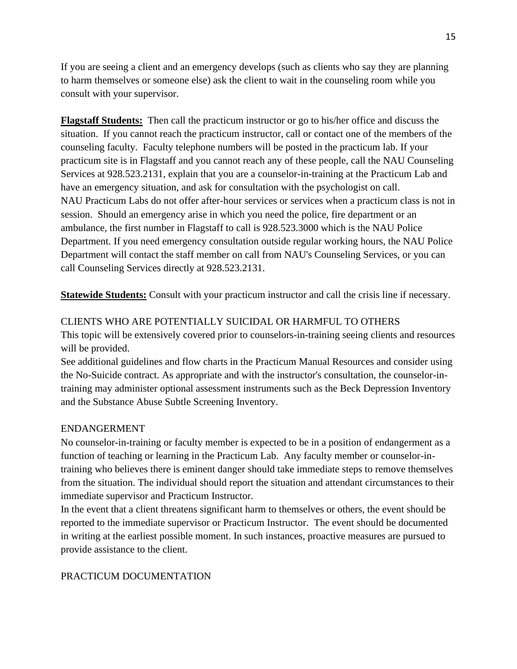If you are seeing a client and an emergency develops (such as clients who say they are planning to harm themselves or someone else) ask the client to wait in the counseling room while you consult with your supervisor.

**Flagstaff Students:** Then call the practicum instructor or go to his/her office and discuss the situation. If you cannot reach the practicum instructor, call or contact one of the members of the counseling faculty. Faculty telephone numbers will be posted in the practicum lab. If your practicum site is in Flagstaff and you cannot reach any of these people, call the NAU Counseling Services at 928.523.2131, explain that you are a counselor-in-training at the Practicum Lab and have an emergency situation, and ask for consultation with the psychologist on call. NAU Practicum Labs do not offer after-hour services or services when a practicum class is not in session. Should an emergency arise in which you need the police, fire department or an ambulance, the first number in Flagstaff to call is 928.523.3000 which is the NAU Police Department. If you need emergency consultation outside regular working hours, the NAU Police Department will contact the staff member on call from NAU's Counseling Services, or you can call Counseling Services directly at 928.523.2131.

**Statewide Students:** Consult with your practicum instructor and call the crisis line if necessary.

#### <span id="page-15-0"></span>CLIENTS WHO ARE POTENTIALLY SUICIDAL OR HARMFUL TO OTHERS

This topic will be extensively covered prior to counselors-in-training seeing clients and resources will be provided.

See additional guidelines and flow charts in the Practicum Manual Resources and consider using the No-Suicide contract. As appropriate and with the instructor's consultation, the counselor-intraining may administer optional assessment instruments such as the Beck Depression Inventory and the Substance Abuse Subtle Screening Inventory.

#### <span id="page-15-1"></span>ENDANGERMENT

No counselor-in-training or faculty member is expected to be in a position of endangerment as a function of teaching or learning in the Practicum Lab. Any faculty member or counselor-intraining who believes there is eminent danger should take immediate steps to remove themselves from the situation. The individual should report the situation and attendant circumstances to their immediate supervisor and Practicum Instructor.

In the event that a client threatens significant harm to themselves or others, the event should be reported to the immediate supervisor or Practicum Instructor. The event should be documented in writing at the earliest possible moment. In such instances, proactive measures are pursued to provide assistance to the client.

#### <span id="page-15-2"></span>PRACTICUM DOCUMENTATION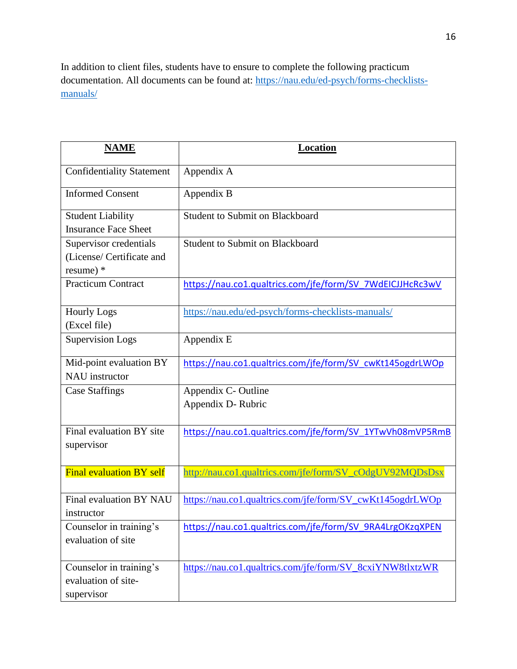In addition to client files, students have to ensure to complete the following practicum documentation. All documents can be found at: [https://nau.edu/ed-psych/forms-checklists](https://nau.edu/ed-psych/forms-checklists-manuals/)[manuals/](https://nau.edu/ed-psych/forms-checklists-manuals/)

| <b>NAME</b>                                                        | <b>Location</b>                                           |
|--------------------------------------------------------------------|-----------------------------------------------------------|
| <b>Confidentiality Statement</b>                                   | Appendix A                                                |
| <b>Informed Consent</b>                                            | Appendix B                                                |
| <b>Student Liability</b><br><b>Insurance Face Sheet</b>            | <b>Student to Submit on Blackboard</b>                    |
| Supervisor credentials<br>(License/ Certificate and<br>resume) $*$ | <b>Student to Submit on Blackboard</b>                    |
| <b>Practicum Contract</b>                                          | https://nau.co1.qualtrics.com/jfe/form/SV 7WdEICJJHcRc3wV |
| <b>Hourly Logs</b><br>(Excel file)                                 | https://nau.edu/ed-psych/forms-checklists-manuals/        |
| <b>Supervision Logs</b>                                            | Appendix E                                                |
| Mid-point evaluation BY<br><b>NAU</b> instructor                   | https://nau.co1.qualtrics.com/jfe/form/SV_cwKt145ogdrLWOp |
| <b>Case Staffings</b>                                              | Appendix C- Outline<br>Appendix D-Rubric                  |
| Final evaluation BY site<br>supervisor                             | https://nau.co1.qualtrics.com/jfe/form/SV_1YTwVh08mVP5RmB |
| <b>Final evaluation BY self</b>                                    | http://nau.co1.qualtrics.com/jfe/form/SV_cOdgUV92MQDsDsx  |
| Final evaluation BY NAU<br>instructor                              | https://nau.co1.qualtrics.com/jfe/form/SV_cwKt145ogdrLWOp |
| Counselor in training's<br>evaluation of site                      | https://nau.co1.qualtrics.com/jfe/form/SV 9RA4LrgOKzqXPEN |
| Counselor in training's<br>evaluation of site-<br>supervisor       | https://nau.co1.qualtrics.com/jfe/form/SV_8cxiYNW8tlxtzWR |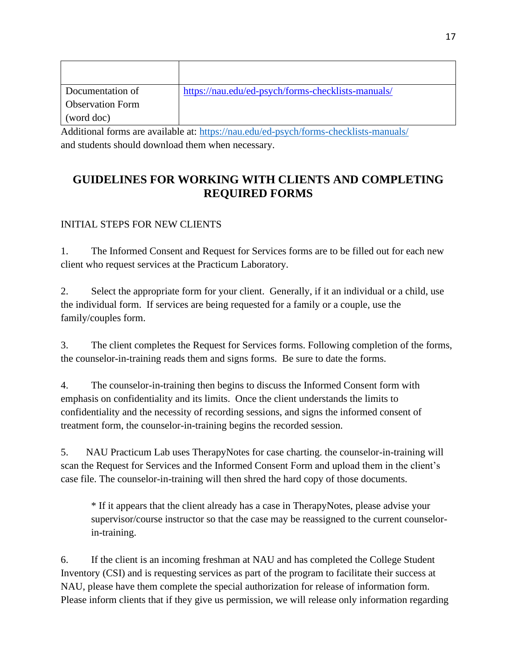| Documentation of                                    | https://nau.edu/ed-psych/forms-checklists-manuals/ |
|-----------------------------------------------------|----------------------------------------------------|
| <b>Observation Form</b>                             |                                                    |
| (word doc)                                          |                                                    |
| $\mathbf{r}$ , and a set of the set of $\mathbf{r}$ | $\sim$ $\sim$<br>.                                 |

Additional forms are available at:<https://nau.edu/ed-psych/forms-checklists-manuals/> and students should download them when necessary.

# <span id="page-17-0"></span>**GUIDELINES FOR WORKING WITH CLIENTS AND COMPLETING REQUIRED FORMS**

# <span id="page-17-1"></span>INITIAL STEPS FOR NEW CLIENTS

1. The Informed Consent and Request for Services forms are to be filled out for each new client who request services at the Practicum Laboratory.

2. Select the appropriate form for your client. Generally, if it an individual or a child, use the individual form. If services are being requested for a family or a couple, use the family/couples form.

3. The client completes the Request for Services forms. Following completion of the forms, the counselor-in-training reads them and signs forms. Be sure to date the forms.

4. The counselor-in-training then begins to discuss the Informed Consent form with emphasis on confidentiality and its limits. Once the client understands the limits to confidentiality and the necessity of recording sessions, and signs the informed consent of treatment form, the counselor-in-training begins the recorded session.

5. NAU Practicum Lab uses TherapyNotes for case charting. the counselor-in-training will scan the Request for Services and the Informed Consent Form and upload them in the client's case file. The counselor-in-training will then shred the hard copy of those documents.

\* If it appears that the client already has a case in TherapyNotes, please advise your supervisor/course instructor so that the case may be reassigned to the current counselorin-training.

6. If the client is an incoming freshman at NAU and has completed the College Student Inventory (CSI) and is requesting services as part of the program to facilitate their success at NAU, please have them complete the special authorization for release of information form. Please inform clients that if they give us permission, we will release only information regarding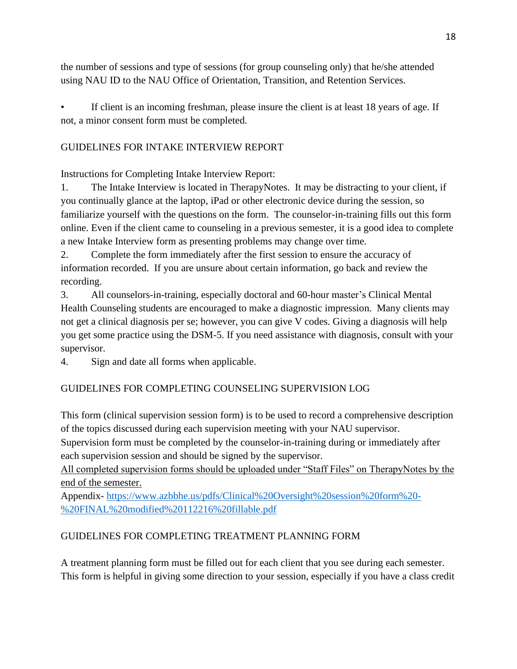the number of sessions and type of sessions (for group counseling only) that he/she attended using NAU ID to the NAU Office of Orientation, Transition, and Retention Services.

If client is an incoming freshman, please insure the client is at least 18 years of age. If not, a minor consent form must be completed.

#### <span id="page-18-0"></span>GUIDELINES FOR INTAKE INTERVIEW REPORT

Instructions for Completing Intake Interview Report:

1. The Intake Interview is located in TherapyNotes. It may be distracting to your client, if you continually glance at the laptop, iPad or other electronic device during the session, so familiarize yourself with the questions on the form. The counselor-in-training fills out this form online. Even if the client came to counseling in a previous semester, it is a good idea to complete a new Intake Interview form as presenting problems may change over time.

2. Complete the form immediately after the first session to ensure the accuracy of information recorded. If you are unsure about certain information, go back and review the recording.

3. All counselors-in-training, especially doctoral and 60-hour master's Clinical Mental Health Counseling students are encouraged to make a diagnostic impression. Many clients may not get a clinical diagnosis per se; however, you can give V codes. Giving a diagnosis will help you get some practice using the DSM-5. If you need assistance with diagnosis, consult with your supervisor.

4. Sign and date all forms when applicable.

### <span id="page-18-1"></span>GUIDELINES FOR COMPLETING COUNSELING SUPERVISION LOG

This form (clinical supervision session form) is to be used to record a comprehensive description of the topics discussed during each supervision meeting with your NAU supervisor.

Supervision form must be completed by the counselor-in-training during or immediately after each supervision session and should be signed by the supervisor.

All completed supervision forms should be uploaded under "Staff Files" on TherapyNotes by the end of the semester.

Appendix- [https://www.azbbhe.us/pdfs/Clinical%20Oversight%20session%20form%20-](https://www.azbbhe.us/pdfs/Clinical%20Oversight%20session%20form%20-%20FINAL%20modified%20112216%20fillable.pdf) [%20FINAL%20modified%20112216%20fillable.pdf](https://www.azbbhe.us/pdfs/Clinical%20Oversight%20session%20form%20-%20FINAL%20modified%20112216%20fillable.pdf)

### <span id="page-18-2"></span>GUIDELINES FOR COMPLETING TREATMENT PLANNING FORM

A treatment planning form must be filled out for each client that you see during each semester. This form is helpful in giving some direction to your session, especially if you have a class credit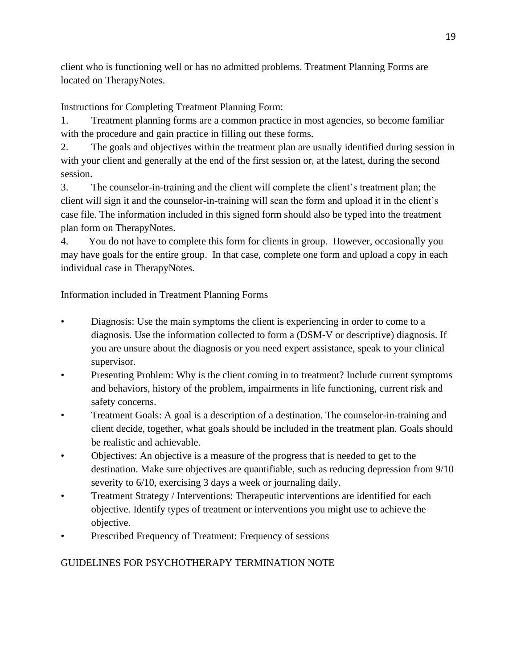client who is functioning well or has no admitted problems. Treatment Planning Forms are located on TherapyNotes.

Instructions for Completing Treatment Planning Form:

1. Treatment planning forms are a common practice in most agencies, so become familiar with the procedure and gain practice in filling out these forms.

2. The goals and objectives within the treatment plan are usually identified during session in with your client and generally at the end of the first session or, at the latest, during the second session.

3. The counselor-in-training and the client will complete the client's treatment plan; the client will sign it and the counselor-in-training will scan the form and upload it in the client's case file. The information included in this signed form should also be typed into the treatment plan form on TherapyNotes.

4. You do not have to complete this form for clients in group. However, occasionally you may have goals for the entire group. In that case, complete one form and upload a copy in each individual case in TherapyNotes.

Information included in Treatment Planning Forms

- Diagnosis: Use the main symptoms the client is experiencing in order to come to a diagnosis. Use the information collected to form a (DSM-V or descriptive) diagnosis. If you are unsure about the diagnosis or you need expert assistance, speak to your clinical supervisor.
- Presenting Problem: Why is the client coming in to treatment? Include current symptoms and behaviors, history of the problem, impairments in life functioning, current risk and safety concerns.
- Treatment Goals: A goal is a description of a destination. The counselor-in-training and client decide, together, what goals should be included in the treatment plan. Goals should be realistic and achievable.
- Objectives: An objective is a measure of the progress that is needed to get to the destination. Make sure objectives are quantifiable, such as reducing depression from 9/10 severity to 6/10, exercising 3 days a week or journaling daily.
- Treatment Strategy / Interventions: Therapeutic interventions are identified for each objective. Identify types of treatment or interventions you might use to achieve the objective.
- Prescribed Frequency of Treatment: Frequency of sessions

# <span id="page-19-0"></span>GUIDELINES FOR PSYCHOTHERAPY TERMINATION NOTE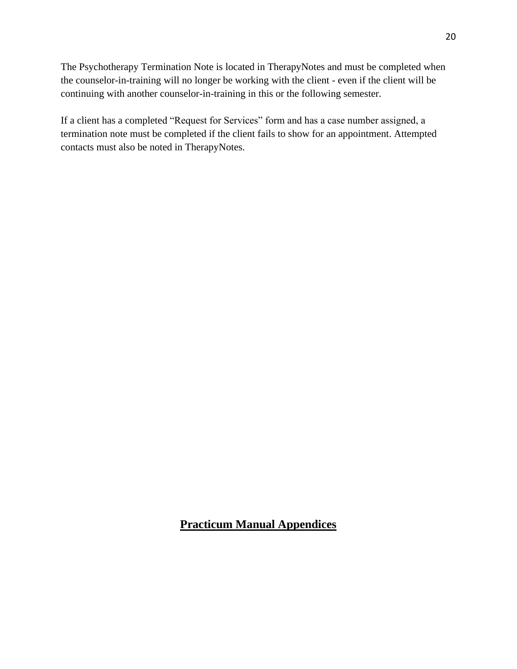The Psychotherapy Termination Note is located in TherapyNotes and must be completed when the counselor-in-training will no longer be working with the client - even if the client will be continuing with another counselor-in-training in this or the following semester.

If a client has a completed "Request for Services" form and has a case number assigned, a termination note must be completed if the client fails to show for an appointment. Attempted contacts must also be noted in TherapyNotes.

<span id="page-20-0"></span>**Practicum Manual Appendices**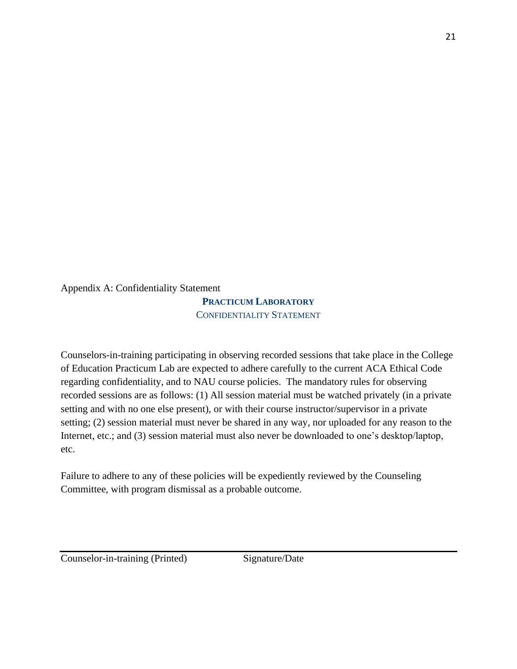<span id="page-21-0"></span>Appendix A: Confidentiality Statement

**PRACTICUM LABORATORY** CONFIDENTIALITY STATEMENT

Counselors-in-training participating in observing recorded sessions that take place in the College of Education Practicum Lab are expected to adhere carefully to the current ACA Ethical Code regarding confidentiality, and to NAU course policies. The mandatory rules for observing recorded sessions are as follows: (1) All session material must be watched privately (in a private setting and with no one else present), or with their course instructor/supervisor in a private setting; (2) session material must never be shared in any way, nor uploaded for any reason to the Internet, etc.; and (3) session material must also never be downloaded to one's desktop/laptop, etc.

Failure to adhere to any of these policies will be expediently reviewed by the Counseling Committee, with program dismissal as a probable outcome.

Counselor-in-training (Printed) Signature/Date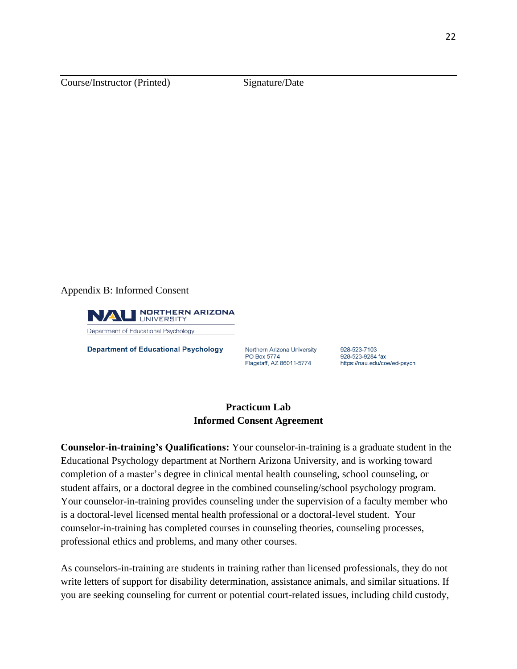Course/Instructor (Printed) Signature/Date

<span id="page-22-0"></span>Appendix B: Informed Consent



**Department of Educational Psychology** 

Northern Arizona University PO Box 5774 Flagstaff, AZ 86011-5774

928-523-7103 928-523-9284 fax https://nau.edu/coe/ed-psych

#### **Practicum Lab Informed Consent Agreement**

**Counselor-in-training's Qualifications:** Your counselor-in-training is a graduate student in the Educational Psychology department at Northern Arizona University, and is working toward completion of a master's degree in clinical mental health counseling, school counseling, or student affairs, or a doctoral degree in the combined counseling/school psychology program. Your counselor-in-training provides counseling under the supervision of a faculty member who is a doctoral-level licensed mental health professional or a doctoral-level student. Your counselor-in-training has completed courses in counseling theories, counseling processes, professional ethics and problems, and many other courses.

As counselors-in-training are students in training rather than licensed professionals, they do not write letters of support for disability determination, assistance animals, and similar situations. If you are seeking counseling for current or potential court-related issues, including child custody,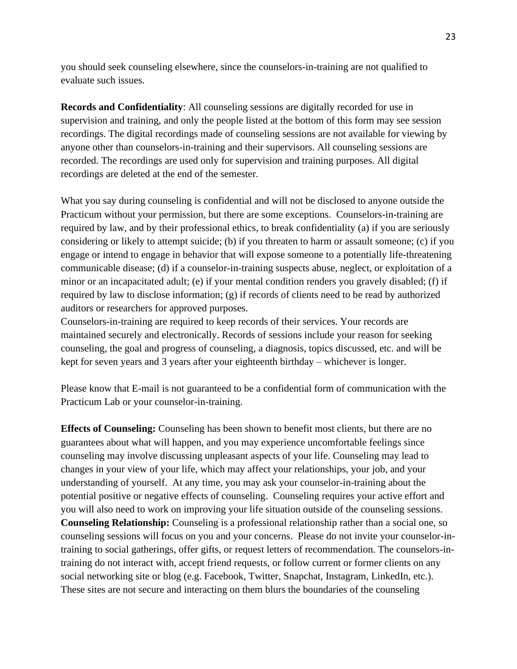you should seek counseling elsewhere, since the counselors-in-training are not qualified to evaluate such issues.

**Records and Confidentiality**: All counseling sessions are digitally recorded for use in supervision and training, and only the people listed at the bottom of this form may see session recordings. The digital recordings made of counseling sessions are not available for viewing by anyone other than counselors-in-training and their supervisors. All counseling sessions are recorded. The recordings are used only for supervision and training purposes. All digital recordings are deleted at the end of the semester.

What you say during counseling is confidential and will not be disclosed to anyone outside the Practicum without your permission, but there are some exceptions. Counselors-in-training are required by law, and by their professional ethics, to break confidentiality (a) if you are seriously considering or likely to attempt suicide; (b) if you threaten to harm or assault someone; (c) if you engage or intend to engage in behavior that will expose someone to a potentially life-threatening communicable disease; (d) if a counselor-in-training suspects abuse, neglect, or exploitation of a minor or an incapacitated adult; (e) if your mental condition renders you gravely disabled; (f) if required by law to disclose information; (g) if records of clients need to be read by authorized auditors or researchers for approved purposes.

Counselors-in-training are required to keep records of their services. Your records are maintained securely and electronically. Records of sessions include your reason for seeking counseling, the goal and progress of counseling, a diagnosis, topics discussed, etc. and will be kept for seven years and 3 years after your eighteenth birthday – whichever is longer.

Please know that E-mail is not guaranteed to be a confidential form of communication with the Practicum Lab or your counselor-in-training.

**Effects of Counseling:** Counseling has been shown to benefit most clients, but there are no guarantees about what will happen, and you may experience uncomfortable feelings since counseling may involve discussing unpleasant aspects of your life. Counseling may lead to changes in your view of your life, which may affect your relationships, your job, and your understanding of yourself. At any time, you may ask your counselor-in-training about the potential positive or negative effects of counseling. Counseling requires your active effort and you will also need to work on improving your life situation outside of the counseling sessions. **Counseling Relationship:** Counseling is a professional relationship rather than a social one, so counseling sessions will focus on you and your concerns. Please do not invite your counselor-intraining to social gatherings, offer gifts, or request letters of recommendation. The counselors-intraining do not interact with, accept friend requests, or follow current or former clients on any social networking site or blog (e.g. Facebook, Twitter, Snapchat, Instagram, LinkedIn, etc.). These sites are not secure and interacting on them blurs the boundaries of the counseling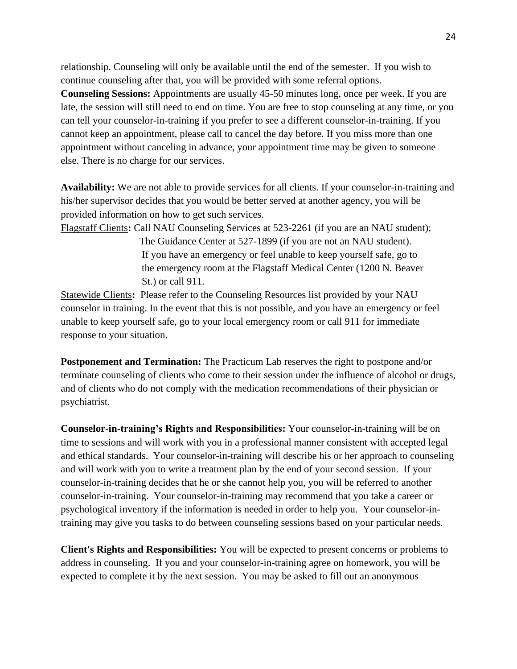relationship. Counseling will only be available until the end of the semester. If you wish to continue counseling after that, you will be provided with some referral options. **Counseling Sessions:** Appointments are usually 45-50 minutes long, once per week. If you are late, the session will still need to end on time. You are free to stop counseling at any time, or you can tell your counselor-in-training if you prefer to see a different counselor-in-training. If you cannot keep an appointment, please call to cancel the day before. If you miss more than one appointment without canceling in advance, your appointment time may be given to someone else. There is no charge for our services.

**Availability:** We are not able to provide services for all clients. If your counselor-in-training and his/her supervisor decides that you would be better served at another agency, you will be provided information on how to get such services.

Flagstaff Clients**:** Call NAU Counseling Services at 523-2261 (if you are an NAU student);

 The Guidance Center at 527-1899 (if you are not an NAU student). If you have an emergency or feel unable to keep yourself safe, go to the emergency room at the Flagstaff Medical Center (1200 N. Beaver St.) or call 911.

Statewide Clients**:** Please refer to the Counseling Resources list provided by your NAU counselor in training. In the event that this is not possible, and you have an emergency or feel unable to keep yourself safe, go to your local emergency room or call 911 for immediate response to your situation.

**Postponement and Termination:** The Practicum Lab reserves the right to postpone and/or terminate counseling of clients who come to their session under the influence of alcohol or drugs, and of clients who do not comply with the medication recommendations of their physician or psychiatrist.

**Counselor-in-training's Rights and Responsibilities:** Your counselor-in-training will be on time to sessions and will work with you in a professional manner consistent with accepted legal and ethical standards. Your counselor-in-training will describe his or her approach to counseling and will work with you to write a treatment plan by the end of your second session. If your counselor-in-training decides that he or she cannot help you, you will be referred to another counselor-in-training. Your counselor-in-training may recommend that you take a career or psychological inventory if the information is needed in order to help you. Your counselor-intraining may give you tasks to do between counseling sessions based on your particular needs.

**Client's Rights and Responsibilities:** You will be expected to present concerns or problems to address in counseling. If you and your counselor-in-training agree on homework, you will be expected to complete it by the next session. You may be asked to fill out an anonymous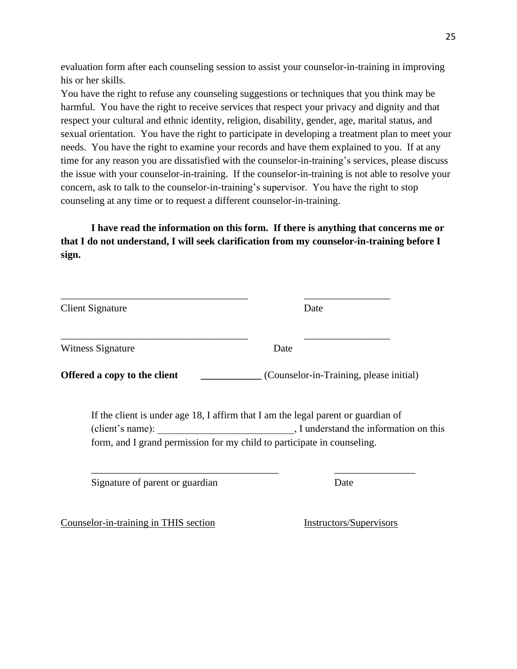evaluation form after each counseling session to assist your counselor-in-training in improving his or her skills.

You have the right to refuse any counseling suggestions or techniques that you think may be harmful. You have the right to receive services that respect your privacy and dignity and that respect your cultural and ethnic identity, religion, disability, gender, age, marital status, and sexual orientation. You have the right to participate in developing a treatment plan to meet your needs. You have the right to examine your records and have them explained to you. If at any time for any reason you are dissatisfied with the counselor-in-training's services, please discuss the issue with your counselor-in-training. If the counselor-in-training is not able to resolve your concern, ask to talk to the counselor-in-training's supervisor. You have the right to stop counseling at any time or to request a different counselor-in-training.

**I have read the information on this form. If there is anything that concerns me or that I do not understand, I will seek clarification from my counselor-in-training before I sign.**

| <b>Client Signature</b>                                                                     | Date                                                                                                                        |
|---------------------------------------------------------------------------------------------|-----------------------------------------------------------------------------------------------------------------------------|
| <b>Witness Signature</b>                                                                    | Date                                                                                                                        |
| <b>Offered a copy to the client</b>                                                         | (Counselor-in-Training, please initial)                                                                                     |
| (client's name):<br>form, and I grand permission for my child to participate in counseling. | If the client is under age 18, I affirm that I am the legal parent or guardian of<br>, I understand the information on this |
| Signature of parent or guardian                                                             | Date                                                                                                                        |
| Counselor-in-training in THIS section                                                       | Instructors/Supervisors                                                                                                     |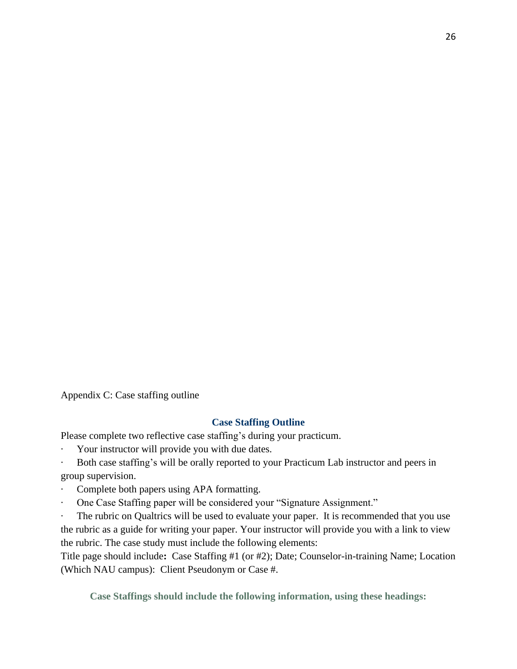<span id="page-26-0"></span>Appendix C: Case staffing outline

#### **Case Staffing Outline**

Please complete two reflective case staffing's during your practicum.

- Your instructor will provide you with due dates.
- Both case staffing's will be orally reported to your Practicum Lab instructor and peers in group supervision.
- Complete both papers using APA formatting.
- · One Case Staffing paper will be considered your "Signature Assignment."

The rubric on Qualtrics will be used to evaluate your paper. It is recommended that you use the rubric as a guide for writing your paper. Your instructor will provide you with a link to view the rubric. The case study must include the following elements:

Title page should include**:** Case Staffing #1 (or #2); Date; Counselor-in-training Name; Location (Which NAU campus): Client Pseudonym or Case #.

**Case Staffings should include the following information, using these headings:**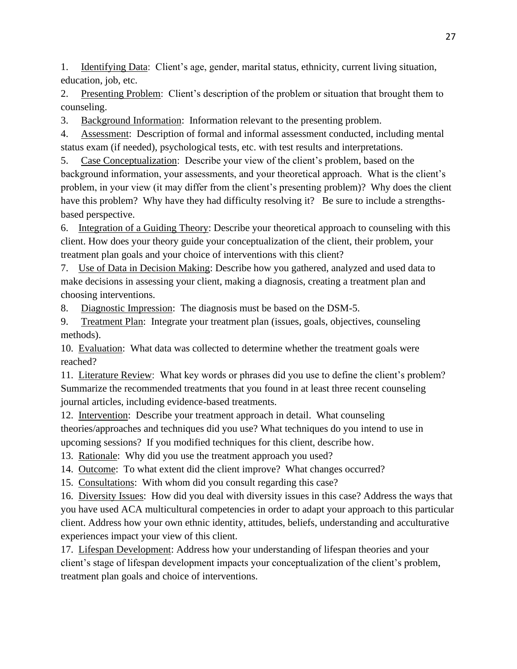1. Identifying Data: Client's age, gender, marital status, ethnicity, current living situation, education, job, etc.

2. Presenting Problem: Client's description of the problem or situation that brought them to counseling.

3. Background Information: Information relevant to the presenting problem.

4. Assessment: Description of formal and informal assessment conducted, including mental status exam (if needed), psychological tests, etc. with test results and interpretations.

5. Case Conceptualization: Describe your view of the client's problem, based on the background information, your assessments, and your theoretical approach. What is the client's problem, in your view (it may differ from the client's presenting problem)? Why does the client have this problem? Why have they had difficulty resolving it? Be sure to include a strengthsbased perspective.

6. Integration of a Guiding Theory: Describe your theoretical approach to counseling with this client. How does your theory guide your conceptualization of the client, their problem, your treatment plan goals and your choice of interventions with this client?

7. Use of Data in Decision Making: Describe how you gathered, analyzed and used data to make decisions in assessing your client, making a diagnosis, creating a treatment plan and choosing interventions.

8. Diagnostic Impression: The diagnosis must be based on the DSM-5.

9. Treatment Plan: Integrate your treatment plan (issues, goals, objectives, counseling methods).

10. Evaluation: What data was collected to determine whether the treatment goals were reached?

11. Literature Review: What key words or phrases did you use to define the client's problem? Summarize the recommended treatments that you found in at least three recent counseling journal articles, including evidence-based treatments.

12. Intervention: Describe your treatment approach in detail. What counseling theories/approaches and techniques did you use? What techniques do you intend to use in upcoming sessions? If you modified techniques for this client, describe how.

13. Rationale: Why did you use the treatment approach you used?

14. Outcome: To what extent did the client improve? What changes occurred?

15. Consultations: With whom did you consult regarding this case?

16. Diversity Issues: How did you deal with diversity issues in this case? Address the ways that you have used ACA multicultural competencies in order to adapt your approach to this particular client. Address how your own ethnic identity, attitudes, beliefs, understanding and acculturative experiences impact your view of this client.

17. Lifespan Development: Address how your understanding of lifespan theories and your client's stage of lifespan development impacts your conceptualization of the client's problem, treatment plan goals and choice of interventions.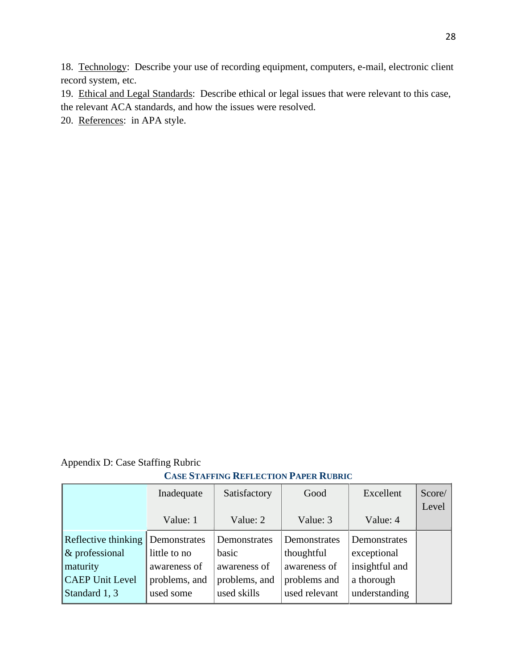18. Technology: Describe your use of recording equipment, computers, e-mail, electronic client record system, etc.

19. Ethical and Legal Standards: Describe ethical or legal issues that were relevant to this case, the relevant ACA standards, and how the issues were resolved.

20. References: in APA style.

#### <span id="page-28-0"></span>Appendix D: Case Staffing Rubric

#### **CASE STAFFING REFLECTION PAPER RUBRIC**

|                        | Inadequate    | Satisfactory  | Good          | Excellent      | Score/ |
|------------------------|---------------|---------------|---------------|----------------|--------|
|                        |               |               |               |                | Level  |
|                        | Value: 1      | Value: 2      | Value: 3      | Value: 4       |        |
| Reflective thinking    | Demonstrates  | Demonstrates  | Demonstrates  | Demonstrates   |        |
| $\&$ professional      | little to no  | basic         | thoughtful    | exceptional    |        |
| maturity               | awareness of  | awareness of  | awareness of  | insightful and |        |
| <b>CAEP Unit Level</b> | problems, and | problems, and | problems and  | a thorough     |        |
| Standard 1, 3          | used some     | used skills   | used relevant | understanding  |        |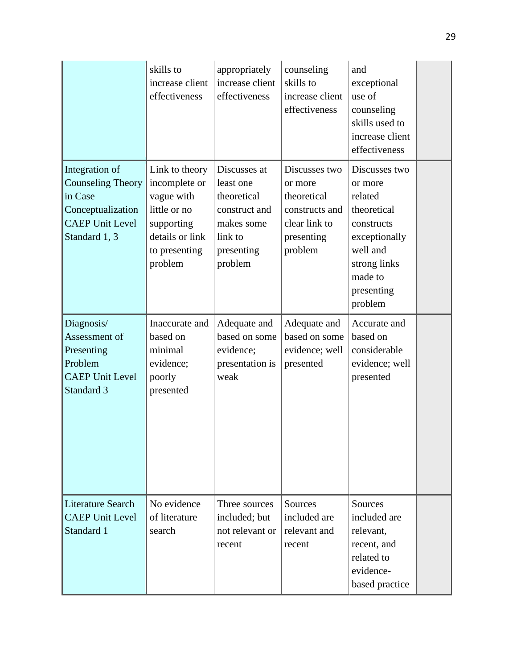|                                                                                                                       | skills to<br>increase client<br>effectiveness                                                                              | appropriately<br>increase client<br>effectiveness                                                           | counseling<br>skills to<br>increase client<br>effectiveness                                         | and<br>exceptional<br>use of<br>counseling<br>skills used to<br>increase client<br>effectiveness                                                  |  |
|-----------------------------------------------------------------------------------------------------------------------|----------------------------------------------------------------------------------------------------------------------------|-------------------------------------------------------------------------------------------------------------|-----------------------------------------------------------------------------------------------------|---------------------------------------------------------------------------------------------------------------------------------------------------|--|
| Integration of<br><b>Counseling Theory</b><br>in Case<br>Conceptualization<br><b>CAEP Unit Level</b><br>Standard 1, 3 | Link to theory<br>incomplete or<br>vague with<br>little or no<br>supporting<br>details or link<br>to presenting<br>problem | Discusses at<br>least one<br>theoretical<br>construct and<br>makes some<br>link to<br>presenting<br>problem | Discusses two<br>or more<br>theoretical<br>constructs and<br>clear link to<br>presenting<br>problem | Discusses two<br>or more<br>related<br>theoretical<br>constructs<br>exceptionally<br>well and<br>strong links<br>made to<br>presenting<br>problem |  |
| Diagnosis/<br>Assessment of<br>Presenting<br>Problem<br><b>CAEP Unit Level</b><br>Standard 3                          | Inaccurate and<br>based on<br>minimal<br>evidence;<br>poorly<br>presented                                                  | Adequate and<br>based on some<br>evidence;<br>presentation is<br>weak                                       | Adequate and<br>based on some<br>evidence; well<br>presented                                        | Accurate and<br>based on<br>considerable<br>evidence; well<br>presented                                                                           |  |
| <b>Literature Search</b><br><b>CAEP Unit Level</b><br>Standard 1                                                      | No evidence<br>of literature<br>search                                                                                     | Three sources<br>included; but<br>not relevant or<br>recent                                                 | Sources<br>included are<br>relevant and<br>recent                                                   | Sources<br>included are<br>relevant,<br>recent, and<br>related to<br>evidence-<br>based practice                                                  |  |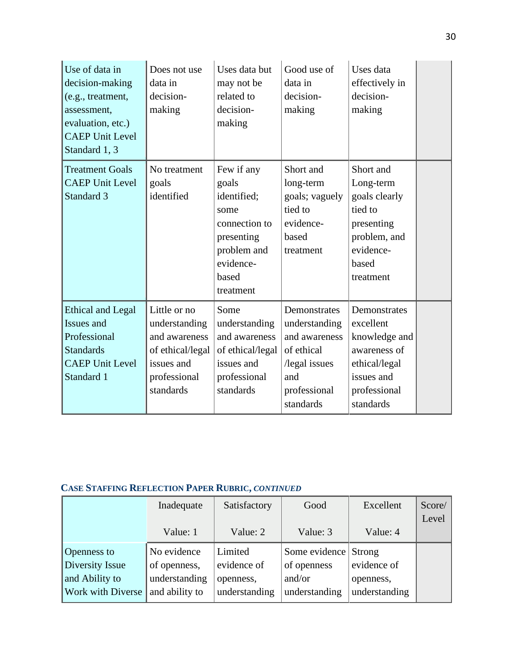| Use of data in<br>decision-making<br>(e.g., treatment,<br>assessment,<br>evaluation, etc.)<br><b>CAEP Unit Level</b><br>Standard 1, 3 | Does not use<br>data in<br>decision-<br>making                                                                | Uses data but<br>may not be<br>related to<br>decision-<br>making                                                            | Good use of<br>data in<br>decision-<br>making                                                                     | Uses data<br>effectively in<br>decision-<br>making                                                                     |  |
|---------------------------------------------------------------------------------------------------------------------------------------|---------------------------------------------------------------------------------------------------------------|-----------------------------------------------------------------------------------------------------------------------------|-------------------------------------------------------------------------------------------------------------------|------------------------------------------------------------------------------------------------------------------------|--|
| <b>Treatment Goals</b><br><b>CAEP Unit Level</b><br>Standard 3                                                                        | No treatment<br>goals<br>identified                                                                           | Few if any<br>goals<br>identified;<br>some<br>connection to<br>presenting<br>problem and<br>evidence-<br>based<br>treatment | Short and<br>long-term<br>goals; vaguely<br>tied to<br>evidence-<br>based<br>treatment                            | Short and<br>Long-term<br>goals clearly<br>tied to<br>presenting<br>problem, and<br>evidence-<br>based<br>treatment    |  |
| <b>Ethical and Legal</b><br>Issues and<br>Professional<br><b>Standards</b><br><b>CAEP Unit Level</b><br>Standard 1                    | Little or no<br>understanding<br>and awareness<br>of ethical/legal<br>issues and<br>professional<br>standards | Some<br>understanding<br>and awareness<br>of ethical/legal<br>issues and<br>professional<br>standards                       | Demonstrates<br>understanding<br>and awareness<br>of ethical<br>/legal issues<br>and<br>professional<br>standards | Demonstrates<br>excellent<br>knowledge and<br>awareness of<br>ethical/legal<br>issues and<br>professional<br>standards |  |

# **CASE STAFFING REFLECTION PAPER RUBRIC,** *CONTINUED*

|                          | Inadequate     | Satisfactory  | Good                 | Excellent     | Score/ |
|--------------------------|----------------|---------------|----------------------|---------------|--------|
|                          |                |               |                      |               | Level  |
|                          | Value: 1       | Value: 2      | Value: 3             | Value: 4      |        |
| <b>Openness to</b>       | No evidence    | Limited       | Some evidence Strong |               |        |
| Diversity Issue          | of openness,   | evidence of   | of openness          | evidence of   |        |
| and Ability to           | understanding  | openness,     | and/or               | openness,     |        |
| <b>Work with Diverse</b> | and ability to | understanding | understanding        | understanding |        |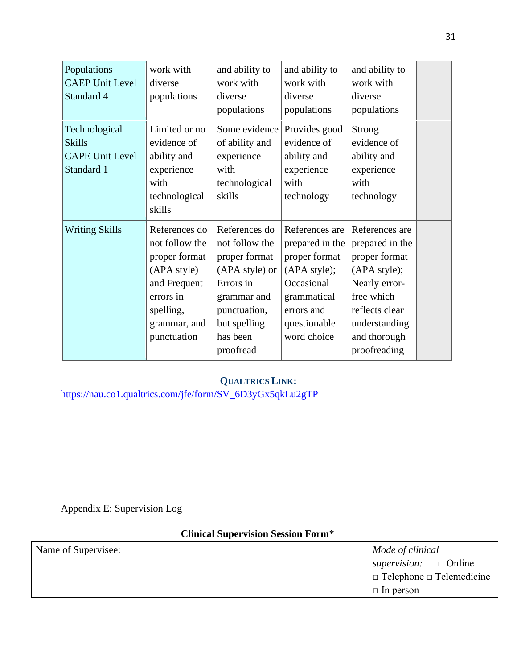| Populations<br><b>CAEP Unit Level</b><br>Standard 4                    | work with<br>diverse<br>populations                                                                                                      | and ability to<br>work with<br>diverse<br>populations                                                                                                   | and ability to<br>work with<br>diverse<br>populations                                                                                        | and ability to<br>work with<br>diverse<br>populations                                                                                                                |  |
|------------------------------------------------------------------------|------------------------------------------------------------------------------------------------------------------------------------------|---------------------------------------------------------------------------------------------------------------------------------------------------------|----------------------------------------------------------------------------------------------------------------------------------------------|----------------------------------------------------------------------------------------------------------------------------------------------------------------------|--|
| Technological<br><b>Skills</b><br><b>CAPE Unit Level</b><br>Standard 1 | Limited or no<br>evidence of<br>ability and<br>experience<br>with<br>technological<br>skills                                             | Some evidence<br>of ability and<br>experience<br>with<br>technological<br>skills                                                                        | Provides good<br>evidence of<br>ability and<br>experience<br>with<br>technology                                                              | <b>Strong</b><br>evidence of<br>ability and<br>experience<br>with<br>technology                                                                                      |  |
| <b>Writing Skills</b>                                                  | References do<br>not follow the<br>proper format<br>(APA style)<br>and Frequent<br>errors in<br>spelling,<br>grammar, and<br>punctuation | References do<br>not follow the<br>proper format<br>(APA style) or<br>Errors in<br>grammar and<br>punctuation,<br>but spelling<br>has been<br>proofread | References are<br>prepared in the<br>proper format<br>(APA style);<br>Occasional<br>grammatical<br>errors and<br>questionable<br>word choice | References are<br>prepared in the<br>proper format<br>(APA style);<br>Nearly error-<br>free which<br>reflects clear<br>understanding<br>and thorough<br>proofreading |  |

# **QUALTRICS LINK:**

[https://nau.co1.qualtrics.com/jfe/form/SV\\_6D3yGx5qkLu2gTP](https://nau.co1.qualtrics.com/jfe/form/SV_6D3yGx5qkLu2gTP)

<span id="page-31-0"></span>Appendix E: Supervision Log

# **Clinical Supervision Session Form\***

| Name of Supervisee: | Mode of clinical                     |
|---------------------|--------------------------------------|
|                     | supervision: $\Box$ Online           |
|                     | $\Box$ Telephone $\Box$ Telemedicine |
|                     | $\Box$ In person                     |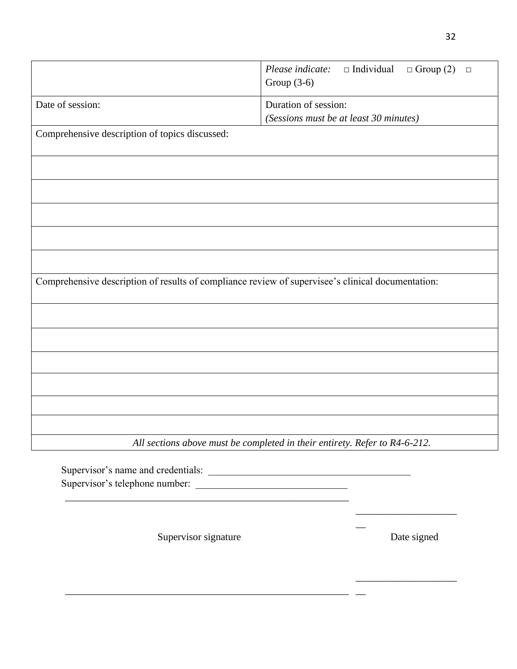|                                                                                                   | $\Box$ Individual<br>Please indicate:<br>$\Box$ Group (2)<br>$\Box$<br>Group $(3-6)$ |
|---------------------------------------------------------------------------------------------------|--------------------------------------------------------------------------------------|
| Date of session:                                                                                  | Duration of session:<br>(Sessions must be at least 30 minutes)                       |
| Comprehensive description of topics discussed:                                                    |                                                                                      |
|                                                                                                   |                                                                                      |
|                                                                                                   |                                                                                      |
|                                                                                                   |                                                                                      |
|                                                                                                   |                                                                                      |
|                                                                                                   |                                                                                      |
| Comprehensive description of results of compliance review of supervisee's clinical documentation: |                                                                                      |
|                                                                                                   |                                                                                      |
|                                                                                                   |                                                                                      |
|                                                                                                   |                                                                                      |
|                                                                                                   |                                                                                      |
|                                                                                                   |                                                                                      |
|                                                                                                   |                                                                                      |
|                                                                                                   | All sections above must be completed in their entirety. Refer to R4-6-212.           |
|                                                                                                   |                                                                                      |

Supervisor signature Date signed

\_\_\_\_\_\_\_\_\_\_\_\_\_\_\_\_\_\_\_\_\_\_\_\_\_\_\_\_\_\_\_\_\_\_\_\_\_\_\_\_\_\_\_\_\_\_\_\_\_\_\_\_\_\_\_\_

\_\_\_\_\_\_\_\_\_\_\_\_\_\_\_\_\_\_\_\_

\_\_\_\_\_\_\_\_\_\_\_\_\_\_\_\_\_\_\_\_

 $\overline{\phantom{a}}$ 

 $\overline{\phantom{a}}$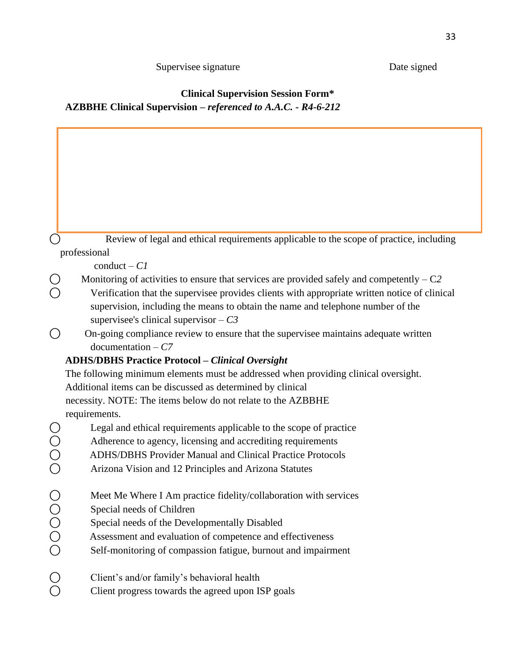# Supervisee signature Date signed

# **Clinical Supervision Session Form\* AZBBHE Clinical Supervision –** *referenced to A.A.C. - R4-6-212*

|                                           | Review of legal and ethical requirements applicable to the scope of practice, including                                                                                                                                                                                      |
|-------------------------------------------|------------------------------------------------------------------------------------------------------------------------------------------------------------------------------------------------------------------------------------------------------------------------------|
|                                           | professional                                                                                                                                                                                                                                                                 |
|                                           | $\text{conduct} - \text{Cl}$                                                                                                                                                                                                                                                 |
|                                           | Monitoring of activities to ensure that services are provided safely and competently $-C2$                                                                                                                                                                                   |
|                                           | Verification that the supervisee provides clients with appropriate written notice of clinical                                                                                                                                                                                |
|                                           | supervision, including the means to obtain the name and telephone number of the                                                                                                                                                                                              |
|                                           | supervised's clinical supervisor $-C3$                                                                                                                                                                                                                                       |
|                                           | On-going compliance review to ensure that the supervisee maintains adequate written                                                                                                                                                                                          |
|                                           | $documentation - C7$                                                                                                                                                                                                                                                         |
|                                           | <b>ADHS/DBHS Practice Protocol - Clinical Oversight</b>                                                                                                                                                                                                                      |
|                                           | The following minimum elements must be addressed when providing clinical oversight.                                                                                                                                                                                          |
|                                           | Additional items can be discussed as determined by clinical                                                                                                                                                                                                                  |
|                                           | necessity. NOTE: The items below do not relate to the AZBBHE                                                                                                                                                                                                                 |
|                                           | requirements.                                                                                                                                                                                                                                                                |
| $\bigcirc$                                | Legal and ethical requirements applicable to the scope of practice                                                                                                                                                                                                           |
| $\begin{matrix} 0 \\ 0 \\ 0 \end{matrix}$ | Adherence to agency, licensing and accrediting requirements                                                                                                                                                                                                                  |
|                                           | <b>ADHS/DBHS Provider Manual and Clinical Practice Protocols</b>                                                                                                                                                                                                             |
|                                           | Arizona Vision and 12 Principles and Arizona Statutes                                                                                                                                                                                                                        |
| OOOO                                      | Meet Me Where I Am practice fidelity/collaboration with services<br>Special needs of Children<br>Special needs of the Developmentally Disabled<br>Assessment and evaluation of competence and effectiveness<br>Self-monitoring of compassion fatigue, burnout and impairment |
| $\bigcirc$                                | Client's and/or family's behavioral health<br>Client progress towards the agreed upon ISP goals                                                                                                                                                                              |